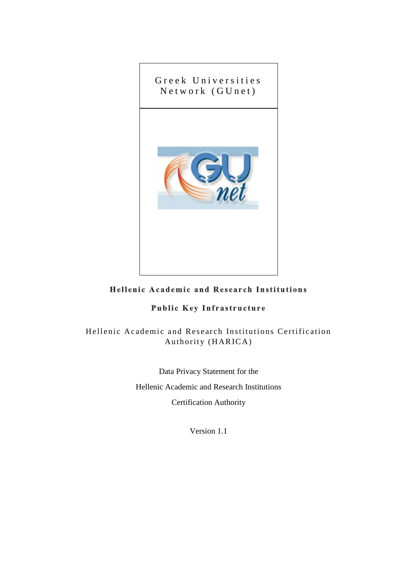

#### Hellenic Academic and Research Institutions

#### Public Key Infrastructure

Hellenic Academic and Research Institutions Certification Authority (HARICA)

> Data Privacy Statement for the Hellenic Academic and Research Institutions Certification Authority

> > Version 1.1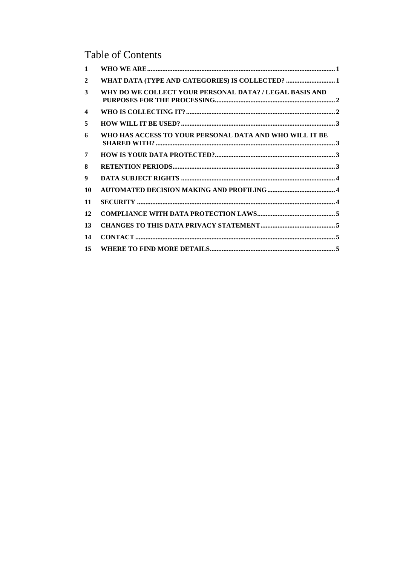# **Table of Contents**

| WHO HAS ACCESS TO YOUR PERSONAL DATA AND WHO WILL IT BE |                                                         |
|---------------------------------------------------------|---------------------------------------------------------|
|                                                         |                                                         |
|                                                         |                                                         |
|                                                         |                                                         |
|                                                         |                                                         |
|                                                         |                                                         |
|                                                         |                                                         |
|                                                         |                                                         |
|                                                         |                                                         |
|                                                         |                                                         |
|                                                         | WHY DO WE COLLECT YOUR PERSONAL DATA? / LEGAL BASIS AND |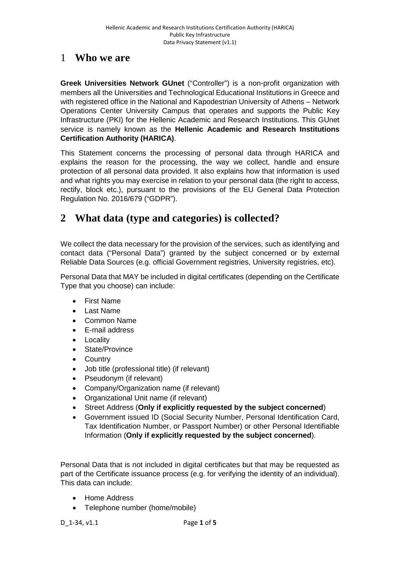#### <span id="page-2-0"></span>1 **Who we are**

**Greek Universities Network GUnet** ("Controller") is a non-profit organization with members all the Universities and Technological Educational Institutions in Greece and with registered office in the National and Kapodestrian University of Athens – Network Operations Center University Campus that operates and supports the Public Key Infrastructure (PKI) for the Hellenic Academic and Research Institutions. This GUnet service is namely known as the **Hellenic Academic and Research Institutions Certification Authority (HARICA)**.

This Statement concerns the processing of personal data through HARICA and explains the reason for the processing, the way we collect, handle and ensure protection of all personal data provided. It also explains how that information is used and what rights you may exercise in relation to your personal data (the right to access, rectify, block etc.), pursuant to the provisions of the EU General Data Protection Regulation No. 2016/679 ("GDPR").

## <span id="page-2-1"></span>**2 What data (type and categories) is collected?**

We collect the data necessary for the provision of the services, such as identifying and contact data ("Personal Data") granted by the subject concerned or by external Reliable Data Sources (e.g. official Government registries, University registries, etc).

Personal Data that MAY be included in digital certificates (depending on the Certificate Type that you choose) can include:

- First Name
- Last Name
- Common Name
- E-mail address
- Locality
- State/Province
- Country
- Job title (professional title) (if relevant)
- Pseudonym (if relevant)
- Company/Organization name (if relevant)
- Organizational Unit name (if relevant)
- Street Address (**Only if explicitly requested by the subject concerned**)
- Government issued ID (Social Security Number, Personal Identification Card, Tax Identification Number, or Passport Number) or other Personal Identifiable Information (**Only if explicitly requested by the subject concerned**).

Personal Data that is not included in digital certificates but that may be requested as part of the Certificate issuance process (e.g. for verifying the identity of an individual). This data can include:

- Home Address
- Telephone number (home/mobile)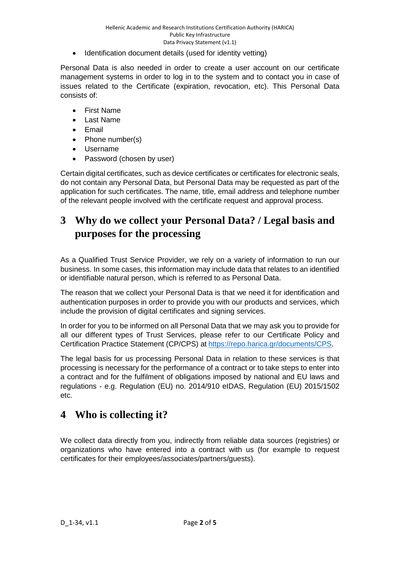Identification document details (used for identity vetting)

Personal Data is also needed in order to create a user account on our certificate management systems in order to log in to the system and to contact you in case of issues related to the Certificate (expiration, revocation, etc). This Personal Data consists of:

- First Name
- Last Name
- Email
- Phone number(s)
- Username
- Password (chosen by user)

Certain digital certificates, such as device certificates or certificates for electronic seals, do not contain any Personal Data, but Personal Data may be requested as part of the application for such certificates. The name, title, email address and telephone number of the relevant people involved with the certificate request and approval process.

#### <span id="page-3-0"></span>**3 Why do we collect your Personal Data? / Legal basis and purposes for the processing**

As a Qualified Trust Service Provider, we rely on a variety of information to run our business. In some cases, this information may include data that relates to an identified or identifiable natural person, which is referred to as Personal Data.

The reason that we collect your Personal Data is that we need it for identification and authentication purposes in order to provide you with our products and services, which include the provision of digital certificates and signing services.

In order for you to be informed on all Personal Data that we may ask you to provide for all our different types of Trust Services, please refer to our Certificate Policy and Certification Practice Statement (CP/CPS) at [https://repo.harica.gr/documents/CPS.](https://repo.harica.gr/documents/CPS)

The legal basis for us processing Personal Data in relation to these services is that processing is necessary for the performance of a contract or to take steps to enter into a contract and for the fulfilment of obligations imposed by national and EU laws and regulations - e.g. Regulation (EU) no. 2014/910 eIDAS, Regulation (EU) 2015/1502 etc.

#### <span id="page-3-1"></span>**4 Who is collecting it?**

We collect data directly from you, indirectly from reliable data sources (registries) or organizations who have entered into a contract with us (for example to request certificates for their employees/associates/partners/guests).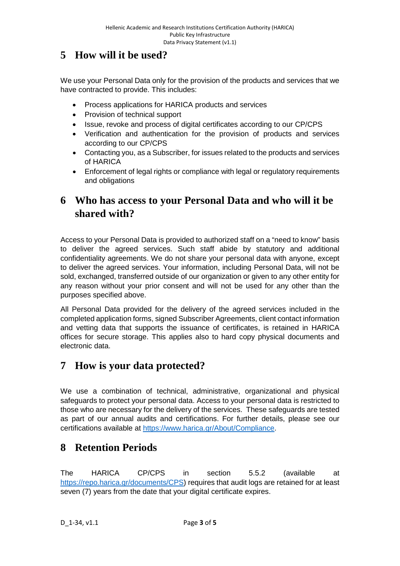## <span id="page-4-0"></span>**5 How will it be used?**

We use your Personal Data only for the provision of the products and services that we have contracted to provide. This includes:

- Process applications for HARICA products and services
- Provision of technical support
- Issue, revoke and process of digital certificates according to our CP/CPS
- Verification and authentication for the provision of products and services according to our CP/CPS
- Contacting you, as a Subscriber, for issues related to the products and services of HARICA
- Enforcement of legal rights or compliance with legal or regulatory requirements and obligations

## <span id="page-4-1"></span>**6 Who has access to your Personal Data and who will it be shared with?**

Access to your Personal Data is provided to authorized staff on a "need to know" basis to deliver the agreed services. Such staff abide by statutory and additional confidentiality agreements. We do not share your personal data with anyone, except to deliver the agreed services. Your information, including Personal Data, will not be sold, exchanged, transferred outside of our organization or given to any other entity for any reason without your prior consent and will not be used for any other than the purposes specified above.

All Personal Data provided for the delivery of the agreed services included in the completed application forms, signed Subscriber Agreements, client contact information and vetting data that supports the issuance of certificates, is retained in HARICA offices for secure storage. This applies also to hard copy physical documents and electronic data.

### <span id="page-4-2"></span>**7 How is your data protected?**

We use a combination of technical, administrative, organizational and physical safeguards to protect your personal data. Access to your personal data is restricted to those who are necessary for the delivery of the services. These safeguards are tested as part of our annual audits and certifications. For further details, please see our certifications available at [https://www.harica.gr/About/Compliance.](https://www.harica.gr/About/Compliance)

### <span id="page-4-3"></span>**8 Retention Periods**

The HARICA CP/CPS in section 5.5.2 (available at [https://repo.harica.gr/documents/CPS\)](https://repo.harica.gr/documents/CPS) requires that audit logs are retained for at least seven (7) years from the date that your digital certificate expires.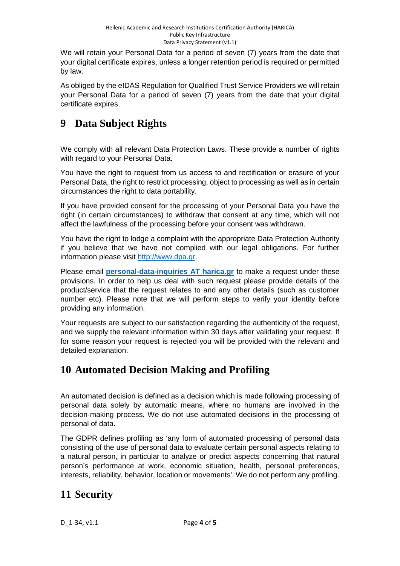We will retain your Personal Data for a period of seven (7) years from the date that your digital certificate expires, unless a longer retention period is required or permitted by law.

As obliged by the eIDAS Regulation for Qualified Trust Service Providers we will retain your Personal Data for a period of seven (7) years from the date that your digital certificate expires.

# <span id="page-5-0"></span>**9 Data Subject Rights**

We comply with all relevant Data Protection Laws. These provide a number of rights with regard to your Personal Data.

You have the right to request from us access to and rectification or erasure of your Personal Data, the right to restrict processing, object to processing as well as in certain circumstances the right to data portability.

If you have provided consent for the processing of your Personal Data you have the right (in certain circumstances) to withdraw that consent at any time, which will not affect the lawfulness of the processing before your consent was withdrawn.

You have the right to lodge a complaint with the appropriate Data Protection Authority if you believe that we have not complied with our legal obligations. For further information please visit [http://www.dpa.gr.](http://www.dpa.gr/)

Please email **personal-data-inquiries AT harica.gr** to make a request under these provisions. In order to help us deal with such request please provide details of the product/service that the request relates to and any other details (such as customer number etc). Please note that we will perform steps to verify your identity before providing any information.

Your requests are subject to our satisfaction regarding the authenticity of the request, and we supply the relevant information within 30 days after validating your request. If for some reason your request is rejected you will be provided with the relevant and detailed explanation.

# <span id="page-5-1"></span>**10 Automated Decision Making and Profiling**

An automated decision is defined as a decision which is made following processing of personal data solely by automatic means, where no humans are involved in the decision-making process. We do not use automated decisions in the processing of personal of data.

The GDPR defines profiling as 'any form of automated processing of personal data consisting of the use of personal data to evaluate certain personal aspects relating to a natural person, in particular to analyze or predict aspects concerning that natural person's performance at work, economic situation, health, personal preferences, interests, reliability, behavior, location or movements'. We do not perform any profiling.

# <span id="page-5-2"></span>**11 Security**